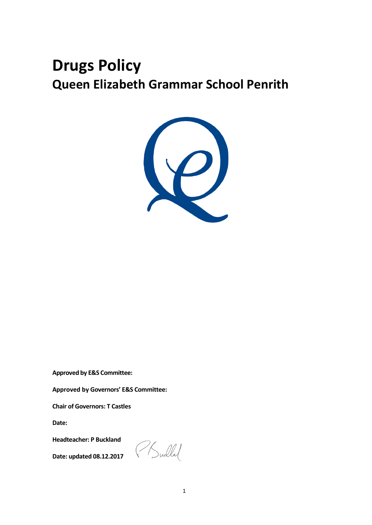# **Drugs Policy Queen Elizabeth Grammar School Penrith**



**Approved by E&S Committee:** 

**Approved by Governors' E&S Committee:**

**Chair of Governors: T Castles**

**Date:** 

**Headteacher: P Buckland**

**Date: updated 08.12.2017**

(/Sullal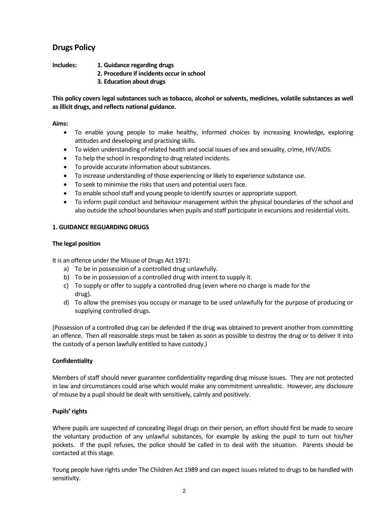## **Drugs Policy**

- **Includes: 1. Guidance regarding drugs**
	- **2. Procedure if incidents occur in school**
	- **3. Education about drugs**

**This policy covers legal substances such as tobacco, alcohol or solvents, medicines, volatile substances as well as illicit drugs, and reflects national guidance.**

### **Aims:**

- To enable young people to make healthy, informed choices by increasing knowledge, exploring attitudes and developing and practising skills.
- To widen understanding of related health and social issues of sex and sexuality, crime, HIV/AIDS.
- To help the school in responding to drug related incidents.
- To provide accurate information about substances.
- To increase understanding of those experiencing or likely to experience substance use.
- To seek to minimise the risks that users and potential users face.
- To enable school staff and young people to identify sources or appropriate support.
- To inform pupil conduct and behaviour management within the physical boundaries of the school and also outside the school boundaries when pupils and staff participate in excursions and residential visits.

### **1. GUIDANCE REGUARDING DRUGS**

### **The legal position**

It is an offence under the Misuse of Drugs Act 1971:

- a) To be in possession of a controlled drug unlawfully.
- b) To be in possession of a controlled drug with intent to supply it.
- c) To supply or offer to supply a controlled drug (even where no charge is made for the drug).
- d) To allow the premises you occupy or manage to be used unlawfully for the purpose of producing or supplying controlled drugs.

(Possession of a controlled drug can be defended if the drug was obtained to prevent another from committing an offence. Then all reasonable steps must be taken as soon as possible to destroy the drug or to deliver it into the custody of a person lawfully entitled to have custody.)

### **Confidentiality**

Members of staff should never guarantee confidentiality regarding drug misuse issues. They are not protected in law and circumstances could arise which would make any commitment unrealistic. However, any disclosure of misuse by a pupil should be dealt with sensitively, calmly and positively.

### **Pupils' rights**

Where pupils are suspected of concealing illegal drugs on their person, an effort should first be made to secure the voluntary production of any unlawful substances, for example by asking the pupil to turn out his/her pockets. If the pupil refuses, the police should be called in to deal with the situation. Parents should be contacted at this stage.

Young people have rights under The Children Act 1989 and can expect issues related to drugs to be handled with sensitivity.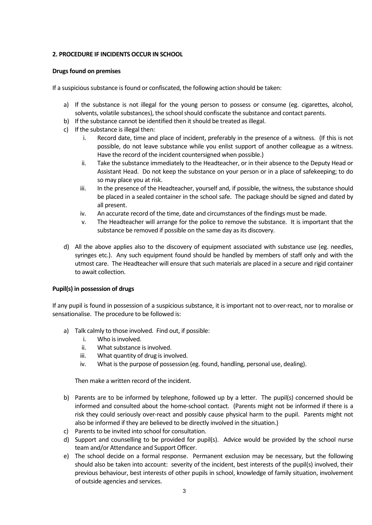### **2. PROCEDURE IF INCIDENTS OCCUR IN SCHOOL**

### **Drugs found on premises**

If a suspicious substance is found or confiscated, the following action should be taken:

- a) If the substance is not illegal for the young person to possess or consume (eg. cigarettes, alcohol, solvents, volatile substances), the school should confiscate the substance and contact parents.
- b) If the substance cannot be identified then it should be treated as illegal.
- c) If the substance is illegal then:
	- i. Record date, time and place of incident, preferably in the presence of a witness. (If this is not possible, do not leave substance while you enlist support of another colleague as a witness. Have the record of the incident countersigned when possible.)
	- ii. Take the substance immediately to the Headteacher, or in their absence to the Deputy Head or Assistant Head. Do not keep the substance on your person or in a place of safekeeping; to do so may place you at risk.
	- iii. In the presence of the Headteacher, yourself and, if possible, the witness, the substance should be placed in a sealed container in the school safe. The package should be signed and dated by all present.
	- iv. An accurate record of the time, date and circumstances of the findings must be made.
	- v. The Headteacher will arrange for the police to remove the substance. It is important that the substance be removed if possible on the same day as its discovery.
- d) All the above applies also to the discovery of equipment associated with substance use (eg. needles, syringes etc.). Any such equipment found should be handled by members of staff only and with the utmost care. The Headteacher will ensure that such materials are placed in a secure and rigid container to await collection.

### **Pupil(s) in possession of drugs**

If any pupil is found in possession of a suspicious substance, it is important not to over-react, nor to moralise or sensationalise. The procedure to be followed is:

- a) Talk calmly to those involved. Find out, if possible:
	- i. Who is involved.
	- ii. What substance is involved.
	- iii. What quantity of drug is involved.
	- iv. What is the purpose of possession (eg. found, handling, personal use, dealing).

Then make a written record of the incident.

- b) Parents are to be informed by telephone, followed up by a letter. The pupil(s) concerned should be informed and consulted about the home-school contact. (Parents might not be informed if there is a risk they could seriously over-react and possibly cause physical harm to the pupil. Parents might not also be informed if they are believed to be directly involved in the situation.)
- c) Parents to be invited into school for consultation.
- d) Support and counselling to be provided for pupil(s). Advice would be provided by the school nurse team and/or Attendance and Support Officer.
- e) The school decide on a formal response. Permanent exclusion may be necessary, but the following should also be taken into account: severity of the incident, best interests of the pupil(s) involved, their previous behaviour, best interests of other pupils in school, knowledge of family situation, involvement of outside agencies and services.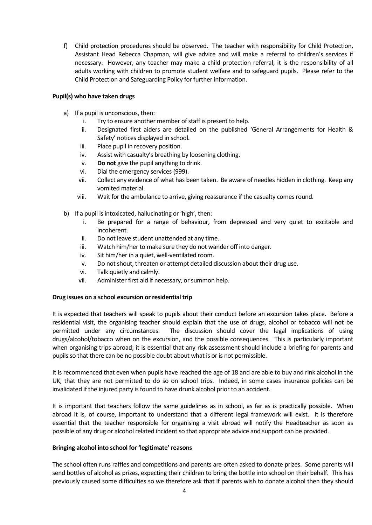f) Child protection procedures should be observed. The teacher with responsibility for Child Protection, Assistant Head Rebecca Chapman, will give advice and will make a referral to children's services if necessary. However, any teacher may make a child protection referral; it is the responsibility of all adults working with children to promote student welfare and to safeguard pupils. Please refer to the Child Protection and Safeguarding Policy for further information.

### **Pupil(s) who have taken drugs**

- a) If a pupil is unconscious, then:
	- i. Try to ensure another member of staff is present to help.
	- ii. Designated first aiders are detailed on the published 'General Arrangements for Health & Safety' notices displayed in school.
	- iii. Place pupil in recovery position.
	- iv. Assist with casualty's breathing by loosening clothing.
	- v. **Do not** give the pupil anything to drink.
	- vi. Dial the emergency services (999).
	- vii. Collect any evidence of what has been taken. Be aware of needles hidden in clothing. Keep any vomited material.
	- viii. Wait for the ambulance to arrive, giving reassurance if the casualty comes round.
- b) If a pupil is intoxicated, hallucinating or 'high', then:
	- i. Be prepared for a range of behaviour, from depressed and very quiet to excitable and incoherent.
	- ii. Do not leave student unattended at any time.
	- iii. Watch him/her to make sure they do not wander off into danger.
	- iv. Sit him/her in a quiet, well-ventilated room.
	- v. Do not shout, threaten or attempt detailed discussion about their drug use.
	- vi. Talk quietly and calmly.
	- vii. Administer first aid if necessary, or summon help.

### **Drug issues on a school excursion or residential trip**

It is expected that teachers will speak to pupils about their conduct before an excursion takes place. Before a residential visit, the organising teacher should explain that the use of drugs, alcohol or tobacco will not be permitted under any circumstances. The discussion should cover the legal implications of using drugs/alcohol/tobacco when on the excursion, and the possible consequences. This is particularly important when organising trips abroad; it is essential that any risk assessment should include a briefing for parents and pupils so that there can be no possible doubt about what is or is not permissible.

It is recommenced that even when pupils have reached the age of 18 and are able to buy and rink alcohol in the UK, that they are not permitted to do so on school trips. Indeed, in some cases insurance policies can be invalidated if the injured party is found to have drunk alcohol prior to an accident.

It is important that teachers follow the same guidelines as in school, as far as is practically possible. When abroad it is, of course, important to understand that a different legal framework will exist. It is therefore essential that the teacher responsible for organising a visit abroad will notify the Headteacher as soon as possible of any drug or alcohol related incident so that appropriate advice and support can be provided.

### **Bringing alcohol into school for 'legitimate' reasons**

The school often runs raffles and competitions and parents are often asked to donate prizes. Some parents will send bottles of alcohol as prizes, expecting their children to bring the bottle into school on their behalf. This has previously caused some difficulties so we therefore ask that if parents wish to donate alcohol then they should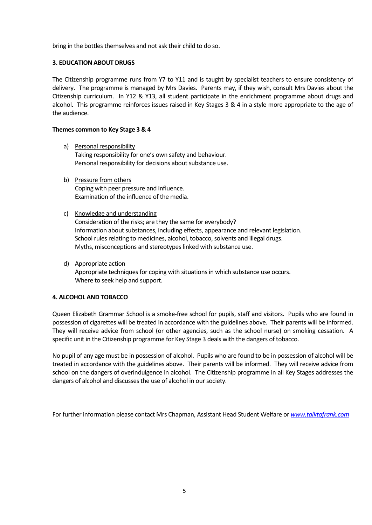bring in the bottles themselves and not ask their child to do so.

### **3. EDUCATION ABOUT DRUGS**

The Citizenship programme runs from Y7 to Y11 and is taught by specialist teachers to ensure consistency of delivery. The programme is managed by Mrs Davies. Parents may, if they wish, consult Mrs Davies about the Citizenship curriculum. In Y12 & Y13, all student participate in the enrichment programme about drugs and alcohol. This programme reinforces issues raised in Key Stages 3 & 4 in a style more appropriate to the age of the audience.

### **Themes common to Key Stage 3 & 4**

- a) Personal responsibility Taking responsibility for one's own safety and behaviour. Personal responsibility for decisions about substance use.
- b) Pressure from others Coping with peer pressure and influence. Examination of the influence of the media.
- c) Knowledge and understanding Consideration of the risks; are they the same for everybody? Information about substances, including effects, appearance and relevant legislation. School rules relating to medicines, alcohol, tobacco, solvents and illegal drugs. Myths, misconceptions and stereotypes linked with substance use.
- d) Appropriate action Appropriate techniques for coping with situations in which substance use occurs. Where to seek help and support.

### **4. ALCOHOL AND TOBACCO**

Queen Elizabeth Grammar School is a smoke-free school for pupils, staff and visitors. Pupils who are found in possession of cigarettes will be treated in accordance with the guidelines above. Their parents will be informed. They will receive advice from school (or other agencies, such as the school nurse) on smoking cessation. A specific unit in the Citizenship programme for Key Stage 3 deals with the dangers of tobacco.

No pupil of any age must be in possession of alcohol. Pupils who are found to be in possession of alcohol will be treated in accordance with the guidelines above. Their parents will be informed. They will receive advice from school on the dangers of overindulgence in alcohol. The Citizenship programme in all Key Stages addresses the dangers of alcohol and discusses the use of alcohol in our society.

For further information please contact Mrs Chapman, Assistant Head Student Welfare or *[www.talktofrank.com](http://www.talktofrank.com/)*